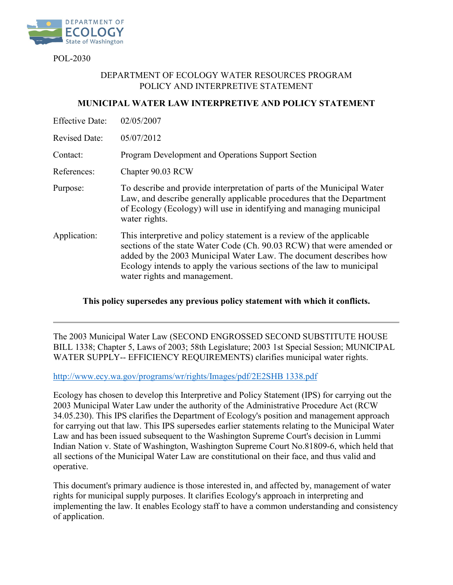

POL-2030

## DEPARTMENT OF ECOLOGY WATER RESOURCES PROGRAM POLICY AND INTERPRETIVE STATEMENT

# **MUNICIPAL WATER LAW INTERPRETIVE AND POLICY STATEMENT**

| <b>Effective Date:</b> | 02/05/2007                                                                                                                                                                                                                                                                                                                  |
|------------------------|-----------------------------------------------------------------------------------------------------------------------------------------------------------------------------------------------------------------------------------------------------------------------------------------------------------------------------|
| <b>Revised Date:</b>   | 05/07/2012                                                                                                                                                                                                                                                                                                                  |
| Contact:               | Program Development and Operations Support Section                                                                                                                                                                                                                                                                          |
| References:            | Chapter 90.03 RCW                                                                                                                                                                                                                                                                                                           |
| Purpose:               | To describe and provide interpretation of parts of the Municipal Water<br>Law, and describe generally applicable procedures that the Department<br>of Ecology (Ecology) will use in identifying and managing municipal<br>water rights.                                                                                     |
| Application:           | This interpretive and policy statement is a review of the applicable<br>sections of the state Water Code (Ch. 90.03 RCW) that were amended or<br>added by the 2003 Municipal Water Law. The document describes how<br>Ecology intends to apply the various sections of the law to municipal<br>water rights and management. |

### **This policy supersedes any previous policy statement with which it conflicts.**

The 2003 Municipal Water Law (SECOND ENGROSSED SECOND SUBSTITUTE HOUSE BILL 1338; Chapter 5, Laws of 2003; 58th Legislature; 2003 1st Special Session; MUNICIPAL WATER SUPPLY-- EFFICIENCY REQUIREMENTS) clarifies municipal water rights.

[http://www.ecy.wa.gov/programs/wr/rights/Images/pdf/2E2SHB 1338.pdf](http://www.ecy.wa.gov/programs/wr/rights/Images/pdf/2E2SHB%201338.pdf)

Ecology has chosen to develop this Interpretive and Policy Statement (IPS) for carrying out the 2003 Municipal Water Law under the authority of the Administrative Procedure Act (RCW 34.05.230). This IPS clarifies the Department of Ecology's position and management approach for carrying out that law. This IPS supersedes earlier statements relating to the Municipal Water Law and has been issued subsequent to the Washington Supreme Court's decision in Lummi Indian Nation v. State of Washington, Washington Supreme Court No.81809-6, which held that all sections of the Municipal Water Law are constitutional on their face, and thus valid and operative.

This document's primary audience is those interested in, and affected by, management of water rights for municipal supply purposes. It clarifies Ecology's approach in interpreting and implementing the law. It enables Ecology staff to have a common understanding and consistency of application.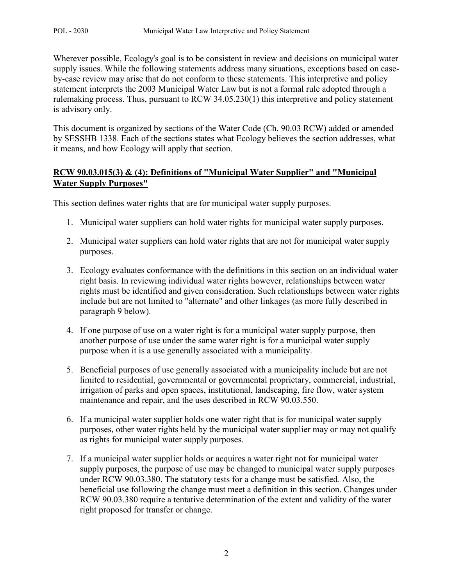Wherever possible, Ecology's goal is to be consistent in review and decisions on municipal water supply issues. While the following statements address many situations, exceptions based on caseby-case review may arise that do not conform to these statements. This interpretive and policy statement interprets the 2003 Municipal Water Law but is not a formal rule adopted through a rulemaking process. Thus, pursuant to RCW 34.05.230(1) this interpretive and policy statement is advisory only.

This document is organized by sections of the Water Code (Ch. 90.03 RCW) added or amended by SESSHB 1338. Each of the sections states what Ecology believes the section addresses, what it means, and how Ecology will apply that section.

# **RCW 90.03.015(3) & (4): Definitions of "Municipal Water Supplier" and "Municipal Water Supply Purposes"**

This section defines water rights that are for municipal water supply purposes.

- 1. Municipal water suppliers can hold water rights for municipal water supply purposes.
- 2. Municipal water suppliers can hold water rights that are not for municipal water supply purposes.
- 3. Ecology evaluates conformance with the definitions in this section on an individual water right basis. In reviewing individual water rights however, relationships between water rights must be identified and given consideration. Such relationships between water rights include but are not limited to "alternate" and other linkages (as more fully described in paragraph 9 below).
- 4. If one purpose of use on a water right is for a municipal water supply purpose, then another purpose of use under the same water right is for a municipal water supply purpose when it is a use generally associated with a municipality.
- 5. Beneficial purposes of use generally associated with a municipality include but are not limited to residential, governmental or governmental proprietary, commercial, industrial, irrigation of parks and open spaces, institutional, landscaping, fire flow, water system maintenance and repair, and the uses described in RCW 90.03.550.
- 6. If a municipal water supplier holds one water right that is for municipal water supply purposes, other water rights held by the municipal water supplier may or may not qualify as rights for municipal water supply purposes.
- 7. If a municipal water supplier holds or acquires a water right not for municipal water supply purposes, the purpose of use may be changed to municipal water supply purposes under RCW 90.03.380. The statutory tests for a change must be satisfied. Also, the beneficial use following the change must meet a definition in this section. Changes under RCW 90.03.380 require a tentative determination of the extent and validity of the water right proposed for transfer or change.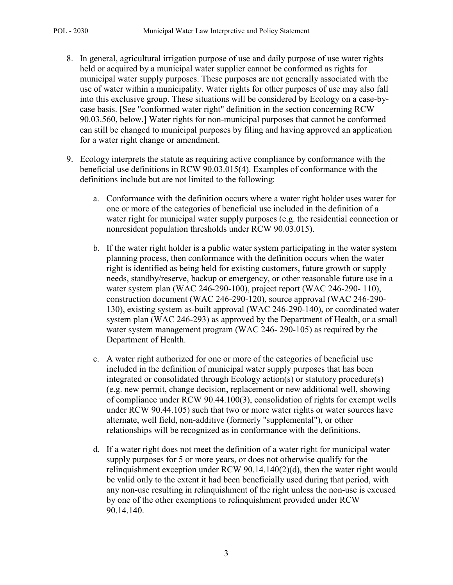- 8. In general, agricultural irrigation purpose of use and daily purpose of use water rights held or acquired by a municipal water supplier cannot be conformed as rights for municipal water supply purposes. These purposes are not generally associated with the use of water within a municipality. Water rights for other purposes of use may also fall into this exclusive group. These situations will be considered by Ecology on a case-bycase basis. [See "conformed water right" definition in the section concerning RCW 90.03.560, below.] Water rights for non-municipal purposes that cannot be conformed can still be changed to municipal purposes by filing and having approved an application for a water right change or amendment.
- 9. Ecology interprets the statute as requiring active compliance by conformance with the beneficial use definitions in RCW 90.03.015(4). Examples of conformance with the definitions include but are not limited to the following:
	- a. Conformance with the definition occurs where a water right holder uses water for one or more of the categories of beneficial use included in the definition of a water right for municipal water supply purposes (e.g. the residential connection or nonresident population thresholds under RCW 90.03.015).
	- b. If the water right holder is a public water system participating in the water system planning process, then conformance with the definition occurs when the water right is identified as being held for existing customers, future growth or supply needs, standby/reserve, backup or emergency, or other reasonable future use in a water system plan (WAC 246-290-100), project report (WAC 246-290- 110), construction document (WAC 246-290-120), source approval (WAC 246-290- 130), existing system as-built approval (WAC 246-290-140), or coordinated water system plan (WAC 246-293) as approved by the Department of Health, or a small water system management program (WAC 246- 290-105) as required by the Department of Health.
	- c. A water right authorized for one or more of the categories of beneficial use included in the definition of municipal water supply purposes that has been integrated or consolidated through Ecology action(s) or statutory procedure(s) (e.g. new permit, change decision, replacement or new additional well, showing of compliance under RCW 90.44.100(3), consolidation of rights for exempt wells under RCW 90.44.105) such that two or more water rights or water sources have alternate, well field, non-additive (formerly "supplemental"), or other relationships will be recognized as in conformance with the definitions.
	- d. If a water right does not meet the definition of a water right for municipal water supply purposes for 5 or more years, or does not otherwise qualify for the relinquishment exception under RCW 90.14.140(2)(d), then the water right would be valid only to the extent it had been beneficially used during that period, with any non-use resulting in relinquishment of the right unless the non-use is excused by one of the other exemptions to relinquishment provided under RCW 90.14.140.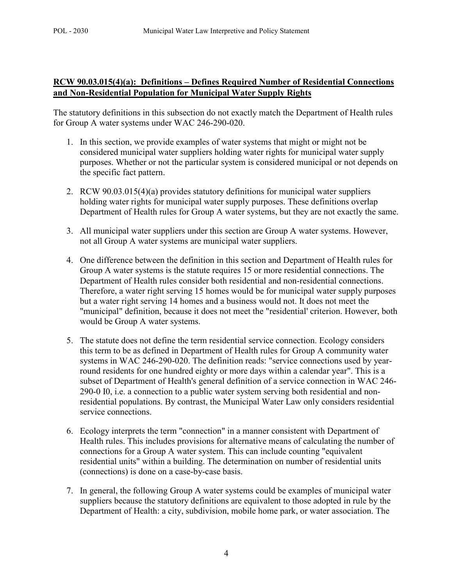# **RCW 90.03.015(4)(a): Definitions – Defines Required Number of Residential Connections and Non-Residential Population for Municipal Water Supply Rights**

The statutory definitions in this subsection do not exactly match the Department of Health rules for Group A water systems under WAC 246-290-020.

- 1. In this section, we provide examples of water systems that might or might not be considered municipal water suppliers holding water rights for municipal water supply purposes. Whether or not the particular system is considered municipal or not depends on the specific fact pattern.
- 2. RCW 90.03.015(4)(a) provides statutory definitions for municipal water suppliers holding water rights for municipal water supply purposes. These definitions overlap Department of Health rules for Group A water systems, but they are not exactly the same.
- 3. All municipal water suppliers under this section are Group A water systems. However, not all Group A water systems are municipal water suppliers.
- 4. One difference between the definition in this section and Department of Health rules for Group A water systems is the statute requires 15 or more residential connections. The Department of Health rules consider both residential and non-residential connections. Therefore, a water right serving 15 homes would be for municipal water supply purposes but a water right serving 14 homes and a business would not. It does not meet the "municipal" definition, because it does not meet the "residential' criterion. However, both would be Group A water systems.
- 5. The statute does not define the term residential service connection. Ecology considers this term to be as defined in Department of Health rules for Group A community water systems in WAC 246-290-020. The definition reads: "service connections used by yearround residents for one hundred eighty or more days within a calendar year". This is a subset of Department of Health's general definition of a service connection in WAC 246- 290-0 I0, i.e. a connection to a public water system serving both residential and nonresidential populations. By contrast, the Municipal Water Law only considers residential service connections.
- 6. Ecology interprets the term "connection" in a manner consistent with Department of Health rules. This includes provisions for alternative means of calculating the number of connections for a Group A water system. This can include counting "equivalent residential units" within a building. The determination on number of residential units (connections) is done on a case-by-case basis.
- 7. In general, the following Group A water systems could be examples of municipal water suppliers because the statutory definitions are equivalent to those adopted in rule by the Department of Health: a city, subdivision, mobile home park, or water association. The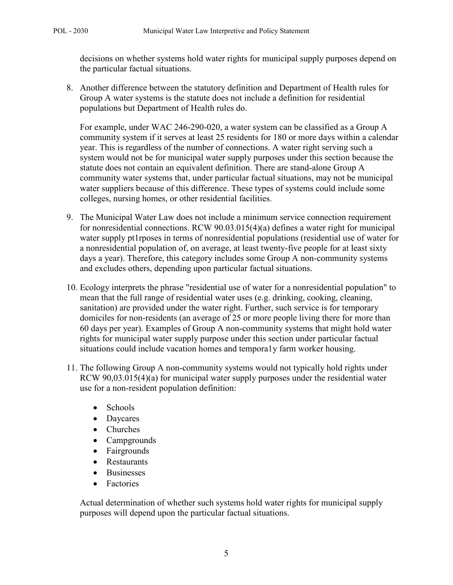decisions on whether systems hold water rights for municipal supply purposes depend on the particular factual situations.

8. Another difference between the statutory definition and Department of Health rules for Group A water systems is the statute does not include a definition for residential populations but Department of Health rules do.

For example, under WAC 246-290-020, a water system can be classified as a Group A community system if it serves at least 25 residents for 180 or more days within a calendar year. This is regardless of the number of connections. A water right serving such a system would not be for municipal water supply purposes under this section because the statute does not contain an equivalent definition. There are stand-alone Group A community water systems that, under particular factual situations, may not be municipal water suppliers because of this difference. These types of systems could include some colleges, nursing homes, or other residential facilities.

- 9. The Municipal Water Law does not include a minimum service connection requirement for nonresidential connections. RCW 90.03.015(4)(a) defines a water right for municipal water supply pt1rposes in terms of nonresidential populations (residential use of water for a nonresidential population of, on average, at least twenty-five people for at least sixty days a year). Therefore, this category includes some Group A non-community systems and excludes others, depending upon particular factual situations.
- 10. Ecology interprets the phrase "residential use of water for a nonresidential population" to mean that the full range of residential water uses (e.g. drinking, cooking, cleaning, sanitation) are provided under the water right. Further, such service is for temporary domiciles for non-residents (an average of 25 or more people living there for more than 60 days per year). Examples of Group A non-community systems that might hold water rights for municipal water supply purpose under this section under particular factual situations could include vacation homes and tempora1y farm worker housing.
- 11. The following Group A non-community systems would not typically hold rights under RCW 90,03.015(4)(a) for municipal water supply purposes under the residential water use for a non-resident population definition:
	- Schools
	- Daycares
	- Churches
	- Campgrounds
	- Fairgrounds
	- Restaurants
	- Businesses
	- Factories

Actual determination of whether such systems hold water rights for municipal supply purposes will depend upon the particular factual situations.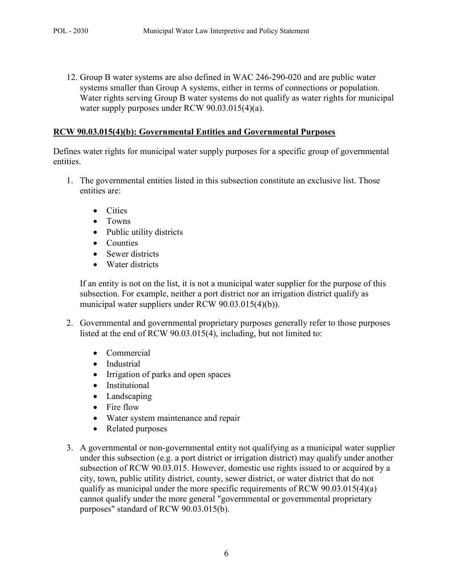12. Group B water systems are also defined in WAC 246-290-020 and are public water systems smaller than Group A systems, either in terms of connections or population. Water rights serving Group B water systems do not qualify as water rights for municipal water supply purposes under RCW 90.03.015(4)(a).

#### **RCW 90.03.015(4)(b): Governmental Entities and Governmental Purposes**

Defines water rights for municipal water supply purposes for a specific group of governmental entities.

- 1. The governmental entities listed in this subsection constitute an exclusive list. Those entities are:
	- Cities
	- Towns
	- Public utility districts
	- Counties
	- Sewer districts
	- Water districts

If an entity is not on the list, it is not a municipal water supplier for the purpose of this subsection. For example, neither a port district nor an irrigation district qualify as municipal water suppliers under RCW 90.03.015(4)(b)).

- 2. Governmental and governmental proprietary purposes generally refer to those purposes listed at the end of RCW 90.03.015(4), including, but not limited to:
	- Commercial
	- Industrial
	- Irrigation of parks and open spaces
	- Institutional
	- Landscaping
	- Fire flow
	- Water system maintenance and repair
	- Related purposes
- 3. A governmental or non-governmental entity not qualifying as a municipal water supplier under this subsection (e.g. a port district or irrigation district) may qualify under another subsection of RCW 90.03.015. However, domestic use rights issued to or acquired by a city, town, public utility district, county, sewer district, or water district that do not qualify as municipal under the more specific requirements of RCW 90.03.015(4)(a) cannot qualify under the more general "governmental or governmental proprietary purposes" standard of RCW 90.03.015(b).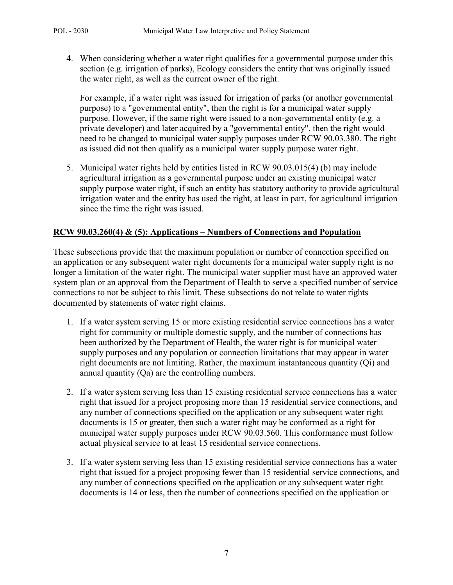4. When considering whether a water right qualifies for a governmental purpose under this section (e.g. irrigation of parks), Ecology considers the entity that was originally issued the water right, as well as the current owner of the right.

For example, if a water right was issued for irrigation of parks (or another governmental purpose) to a "governmental entity", then the right is for a municipal water supply purpose. However, if the same right were issued to a non-governmental entity (e.g. a private developer) and later acquired by a "governmental entity", then the right would need to be changed to municipal water supply purposes under RCW 90.03.380. The right as issued did not then qualify as a municipal water supply purpose water right.

5. Municipal water rights held by entities listed in RCW 90.03.015(4) (b) may include agricultural irrigation as a governmental purpose under an existing municipal water supply purpose water right, if such an entity has statutory authority to provide agricultural irrigation water and the entity has used the right, at least in part, for agricultural irrigation since the time the right was issued.

### **RCW 90.03.260(4) & (5): Applications – Numbers of Connections and Population**

These subsections provide that the maximum population or number of connection specified on an application or any subsequent water right documents for a municipal water supply right is no longer a limitation of the water right. The municipal water supplier must have an approved water system plan or an approval from the Department of Health to serve a specified number of service connections to not be subject to this limit. These subsections do not relate to water rights documented by statements of water right claims.

- 1. If a water system serving 15 or more existing residential service connections has a water right for community or multiple domestic supply, and the number of connections has been authorized by the Department of Health, the water right is for municipal water supply purposes and any population or connection limitations that may appear in water right documents are not limiting. Rather, the maximum instantaneous quantity (Qi) and annual quantity (Qa) are the controlling numbers.
- 2. If a water system serving less than 15 existing residential service connections has a water right that issued for a project proposing more than 15 residential service connections, and any number of connections specified on the application or any subsequent water right documents is 15 or greater, then such a water right may be conformed as a right for municipal water supply purposes under RCW 90.03.560. This conformance must follow actual physical service to at least 15 residential service connections.
- 3. If a water system serving less than 15 existing residential service connections has a water right that issued for a project proposing fewer than 15 residential service connections, and any number of connections specified on the application or any subsequent water right documents is 14 or less, then the number of connections specified on the application or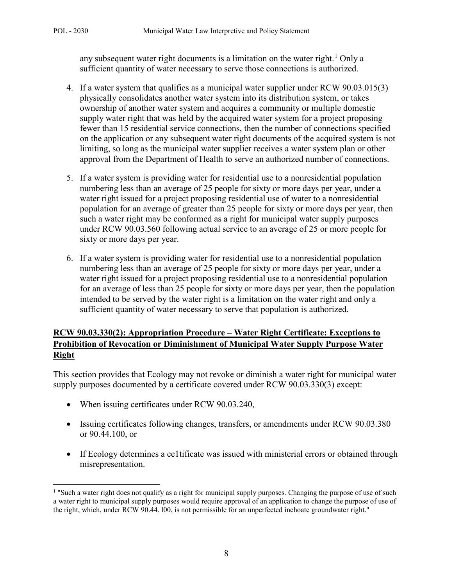l

any subsequent water right documents is a limitation on the water right.<sup>[1](#page-7-0)</sup> Only a sufficient quantity of water necessary to serve those connections is authorized.

- 4. If a water system that qualifies as a municipal water supplier under RCW 90.03.015(3) physically consolidates another water system into its distribution system, or takes ownership of another water system and acquires a community or multiple domestic supply water right that was held by the acquired water system for a project proposing fewer than 15 residential service connections, then the number of connections specified on the application or any subsequent water right documents of the acquired system is not limiting, so long as the municipal water supplier receives a water system plan or other approval from the Department of Health to serve an authorized number of connections.
- 5. If a water system is providing water for residential use to a nonresidential population numbering less than an average of 25 people for sixty or more days per year, under a water right issued for a project proposing residential use of water to a nonresidential population for an average of greater than 25 people for sixty or more days per year, then such a water right may be conformed as a right for municipal water supply purposes under RCW 90.03.560 following actual service to an average of 25 or more people for sixty or more days per year.
- 6. If a water system is providing water for residential use to a nonresidential population numbering less than an average of 25 people for sixty or more days per year, under a water right issued for a project proposing residential use to a nonresidential population for an average of less than 25 people for sixty or more days per year, then the population intended to be served by the water right is a limitation on the water right and only a sufficient quantity of water necessary to serve that population is authorized.

# **RCW 90.03.330(2): Appropriation Procedure – Water Right Certificate: Exceptions to Prohibition of Revocation or Diminishment of Municipal Water Supply Purpose Water Right**

This section provides that Ecology may not revoke or diminish a water right for municipal water supply purposes documented by a certificate covered under RCW 90.03.330(3) except:

- When issuing certificates under RCW 90.03.240,
- Issuing certificates following changes, transfers, or amendments under RCW 90.03.380 or 90.44.100, or
- If Ecology determines a ce1tificate was issued with ministerial errors or obtained through misrepresentation.

<span id="page-7-0"></span><sup>&</sup>lt;sup>1</sup> "Such a water right does not qualify as a right for municipal supply purposes. Changing the purpose of use of such a water right to municipal supply purposes would require approval of an application to change the purpose of use of the right, which, under RCW 90.44. l00, is not permissible for an unperfected inchoate groundwater right."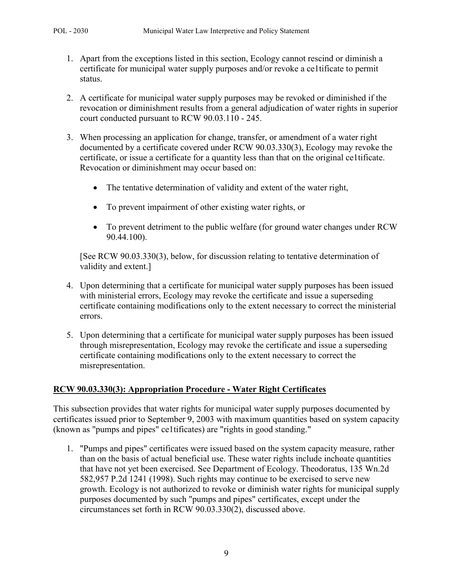- 1. Apart from the exceptions listed in this section, Ecology cannot rescind or diminish a certificate for municipal water supply purposes and/or revoke a ce1tificate to permit status.
- 2. A certificate for municipal water supply purposes may be revoked or diminished if the revocation or diminishment results from a general adjudication of water rights in superior court conducted pursuant to RCW 90.03.110 - 245.
- 3. When processing an application for change, transfer, or amendment of a water right documented by a certificate covered under RCW 90.03.330(3), Ecology may revoke the certificate, or issue a certificate for a quantity less than that on the original ce1tificate. Revocation or diminishment may occur based on:
	- The tentative determination of validity and extent of the water right,
	- To prevent impairment of other existing water rights, or
	- To prevent detriment to the public welfare (for ground water changes under RCW 90.44.100).

[See RCW 90.03.330(3), below, for discussion relating to tentative determination of validity and extent.]

- 4. Upon determining that a certificate for municipal water supply purposes has been issued with ministerial errors, Ecology may revoke the certificate and issue a superseding certificate containing modifications only to the extent necessary to correct the ministerial errors.
- 5. Upon determining that a certificate for municipal water supply purposes has been issued through misrepresentation, Ecology may revoke the certificate and issue a superseding certificate containing modifications only to the extent necessary to correct the misrepresentation.

### **RCW 90.03.330(3): Appropriation Procedure - Water Right Certificates**

This subsection provides that water rights for municipal water supply purposes documented by certificates issued prior to September 9, 2003 with maximum quantities based on system capacity (known as "pumps and pipes" ce1tificates) are "rights in good standing."

1. "Pumps and pipes" certificates were issued based on the system capacity measure, rather than on the basis of actual beneficial use. These water rights include inchoate quantities that have not yet been exercised. See Department of Ecology. Theodoratus, 135 Wn.2d 582,957 P.2d 1241 (1998). Such rights may continue to be exercised to serve new growth. Ecology is not authorized to revoke or diminish water rights for municipal supply purposes documented by such "pumps and pipes" certificates, except under the circumstances set forth in RCW 90.03.330(2), discussed above.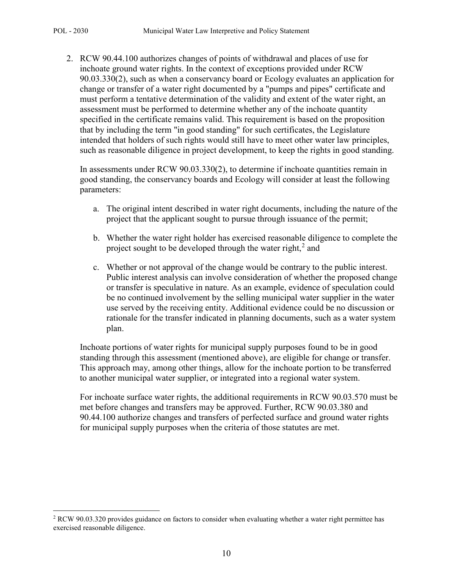l

2. RCW 90.44.100 authorizes changes of points of withdrawal and places of use for inchoate ground water rights. In the context of exceptions provided under RCW 90.03.330(2), such as when a conservancy board or Ecology evaluates an application for change or transfer of a water right documented by a "pumps and pipes" certificate and must perform a tentative determination of the validity and extent of the water right, an assessment must be performed to determine whether any of the inchoate quantity specified in the certificate remains valid. This requirement is based on the proposition that by including the term "in good standing" for such certificates, the Legislature intended that holders of such rights would still have to meet other water law principles, such as reasonable diligence in project development, to keep the rights in good standing.

In assessments under RCW 90.03.330(2), to determine if inchoate quantities remain in good standing, the conservancy boards and Ecology will consider at least the following parameters:

- a. The original intent described in water right documents, including the nature of the project that the applicant sought to pursue through issuance of the permit;
- b. Whether the water right holder has exercised reasonable diligence to complete the project sought to be developed through the water right,<sup>[2](#page-9-0)</sup> and
- c. Whether or not approval of the change would be contrary to the public interest. Public interest analysis can involve consideration of whether the proposed change or transfer is speculative in nature. As an example, evidence of speculation could be no continued involvement by the selling municipal water supplier in the water use served by the receiving entity. Additional evidence could be no discussion or rationale for the transfer indicated in planning documents, such as a water system plan.

Inchoate portions of water rights for municipal supply purposes found to be in good standing through this assessment (mentioned above), are eligible for change or transfer. This approach may, among other things, allow for the inchoate portion to be transferred to another municipal water supplier, or integrated into a regional water system.

For inchoate surface water rights, the additional requirements in RCW 90.03.570 must be met before changes and transfers may be approved. Further, RCW 90.03.380 and 90.44.100 authorize changes and transfers of perfected surface and ground water rights for municipal supply purposes when the criteria of those statutes are met.

<span id="page-9-0"></span><sup>&</sup>lt;sup>2</sup> RCW 90.03.320 provides guidance on factors to consider when evaluating whether a water right permittee has exercised reasonable diligence.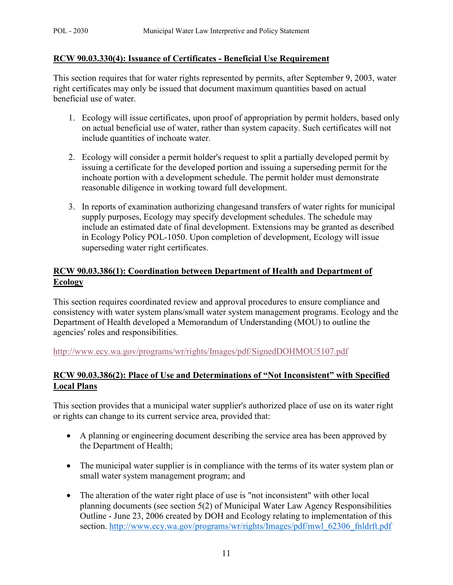#### **RCW 90.03.330(4): Issuance of Certificates - Beneficial Use Requirement**

This section requires that for water rights represented by permits, after September 9, 2003, water right certificates may only be issued that document maximum quantities based on actual beneficial use of water.

- 1. Ecology will issue certificates, upon proof of appropriation by permit holders, based only on actual beneficial use of water, rather than system capacity. Such certificates will not include quantities of inchoate water.
- 2. Ecology will consider a permit holder's request to split a partially developed permit by issuing a certificate for the developed portion and issuing a superseding permit for the inchoate portion with a development schedule. The permit holder must demonstrate reasonable diligence in working toward full development.
- 3. In reports of examination authorizing changesand transfers of water rights for municipal supply purposes, Ecology may specify development schedules. The schedule may include an estimated date of final development. Extensions may be granted as described in Ecology Policy POL-1050. Upon completion of development, Ecology will issue superseding water right certificates.

# **RCW 90.03.386(1): Coordination between Department of Health and Department of Ecology**

This section requires coordinated review and approval procedures to ensure compliance and consistency with water system plans/small water system management programs. Ecology and the Department of Health developed a Memorandum of Understanding (MOU) to outline the agencies' roles and responsibilities.

<http://www.ecy.wa.gov/programs/wr/rights/Images/pdf/SignedDOHMOU5107.pdf>

# **RCW 90.03.386(2): Place of Use and Determinations of "Not Inconsistent" with Specified Local Plans**

This section provides that a municipal water supplier's authorized place of use on its water right or rights can change to its current service area, provided that:

- A planning or engineering document describing the service area has been approved by the Department of Health;
- The municipal water supplier is in compliance with the terms of its water system plan or small water system management program; and
- The alteration of the water right place of use is "not inconsistent" with other local planning documents (see section 5(2) of Municipal Water Law Agency Responsibilities Outline - June 23, 2006 created by DOH and Ecology relating to implementation of this section. http://www.ecy.wa.gov/programs/wr/rights/Images/pdf/mwl 62306 fnldrft.pdf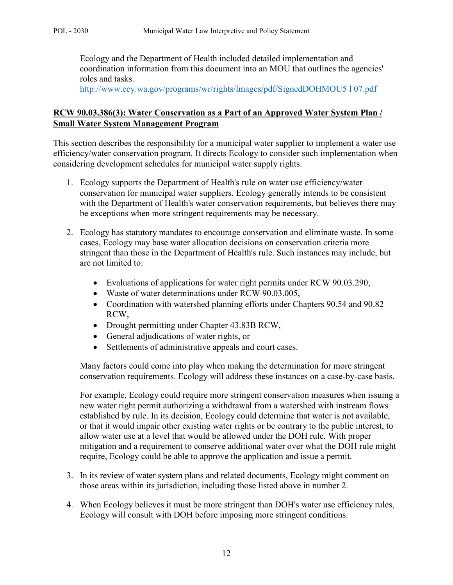Ecology and the Department of Health included detailed implementation and coordination information from this document into an MOU that outlines the agencies' roles and tasks.

[http://www.ecy.wa.gov/programs/wr/rights/lmages/pdf/SignedDOHMOU5 l 07.pdf](http://www.ecy.wa.gov/programs/wr/rights/lmages/pdf/SignedDOHMOU5%20l%2007.pdf)

# **RCW 90.03.386(3): Water Conservation as a Part of an Approved Water System Plan / Small Water System Management Program**

This section describes the responsibility for a municipal water supplier to implement a water use efficiency/water conservation program. It directs Ecology to consider such implementation when considering development schedules for municipal water supply rights.

- 1. Ecology supports the Department of Health's rule on water use efficiency/water conservation for municipal water suppliers. Ecology generally intends to be consistent with the Department of Health's water conservation requirements, but believes there may be exceptions when more stringent requirements may be necessary.
- 2. Ecology has statutory mandates to encourage conservation and eliminate waste. In some cases, Ecology may base water allocation decisions on conservation criteria more stringent than those in the Department of Health's rule. Such instances may include, but are not limited to:
	- Evaluations of applications for water right permits under RCW 90.03.290,
	- Waste of water determinations under RCW 90.03.005,
	- Coordination with watershed planning efforts under Chapters 90.54 and 90.82 RCW,
	- Drought permitting under Chapter 43.83B RCW,
	- General adjudications of water rights, or
	- Settlements of administrative appeals and court cases.

Many factors could come into play when making the determination for more stringent conservation requirements. Ecology will address these instances on a case-by-case basis.

For example, Ecology could require more stringent conservation measures when issuing a new water right permit authorizing a withdrawal from a watershed with instream flows established by rule. In its decision, Ecology could determine that water is not available, or that it would impair other existing water rights or be contrary to the public interest, to allow water use at a level that would be allowed under the DOH rule. With proper mitigation and a requirement to conserve additional water over what the DOH rule might require, Ecology could be able to approve the application and issue a permit.

- 3. In its review of water system plans and related documents, Ecology might comment on those areas within its jurisdiction, including those listed above in number 2.
- 4. When Ecology believes it must be more stringent than DOH's water use efficiency rules, Ecology will consult with DOH before imposing more stringent conditions.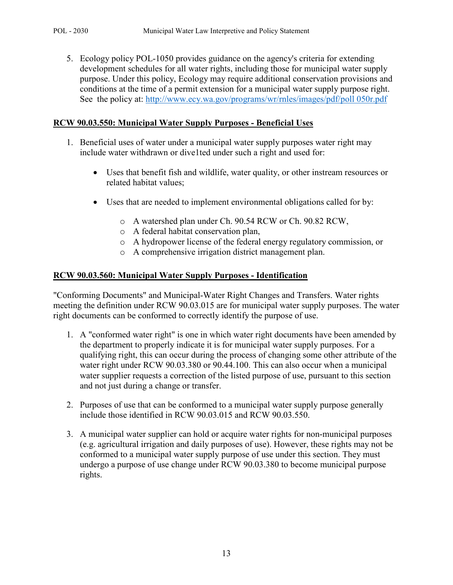5. Ecology policy POL-1050 provides guidance on the agency's criteria for extending development schedules for all water rights, including those for municipal water supply purpose. Under this policy, Ecology may require additional conservation provisions and conditions at the time of a permit extension for a municipal water supply purpose right. See the policy at: [http://www.ecy.wa.gov/programs/wr/rnles/images/pdf/poll 050r.pdf](http://www.ecy.wa.gov/programs/wr/rnles/images/pdf/poll%20050r.pdf)

# **RCW 90.03.550: Municipal Water Supply Purposes - Beneficial Uses**

- 1. Beneficial uses of water under a municipal water supply purposes water right may include water withdrawn or dive1ted under such a right and used for:
	- Uses that benefit fish and wildlife, water quality, or other instream resources or related habitat values;
	- Uses that are needed to implement environmental obligations called for by:
		- o A watershed plan under Ch. 90.54 RCW or Ch. 90.82 RCW,
		- o A federal habitat conservation plan,
		- o A hydropower license of the federal energy regulatory commission, or
		- o A comprehensive irrigation district management plan.

### **RCW 90.03.560: Municipal Water Supply Purposes - Identification**

"Conforming Documents" and Municipal-Water Right Changes and Transfers. Water rights meeting the definition under RCW 90.03.015 are for municipal water supply purposes. The water right documents can be conformed to correctly identify the purpose of use.

- 1. A "conformed water right" is one in which water right documents have been amended by the department to properly indicate it is for municipal water supply purposes. For a qualifying right, this can occur during the process of changing some other attribute of the water right under RCW 90.03.380 or 90.44.100. This can also occur when a municipal water supplier requests a correction of the listed purpose of use, pursuant to this section and not just during a change or transfer.
- 2. Purposes of use that can be conformed to a municipal water supply purpose generally include those identified in RCW 90.03.015 and RCW 90.03.550.
- 3. A municipal water supplier can hold or acquire water rights for non-municipal purposes (e.g. agricultural irrigation and daily purposes of use). However, these rights may not be conformed to a municipal water supply purpose of use under this section. They must undergo a purpose of use change under RCW 90.03.380 to become municipal purpose rights.